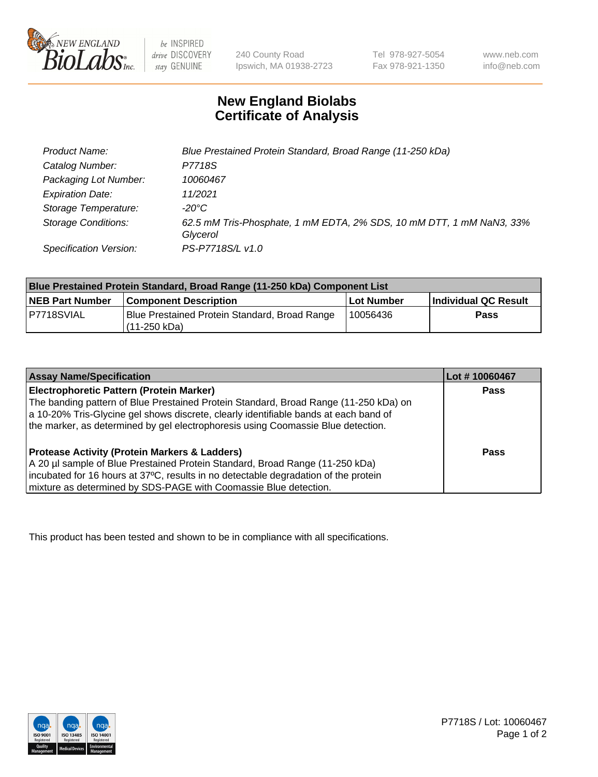

be INSPIRED drive DISCOVERY stay GENUINE

240 County Road Ipswich, MA 01938-2723 Tel 978-927-5054 Fax 978-921-1350

www.neb.com info@neb.com

## **New England Biolabs Certificate of Analysis**

| Product Name:              | Blue Prestained Protein Standard, Broad Range (11-250 kDa)                       |
|----------------------------|----------------------------------------------------------------------------------|
| Catalog Number:            | P7718S                                                                           |
| Packaging Lot Number:      | 10060467                                                                         |
| <b>Expiration Date:</b>    | 11/2021                                                                          |
| Storage Temperature:       | -20°C                                                                            |
| <b>Storage Conditions:</b> | 62.5 mM Tris-Phosphate, 1 mM EDTA, 2% SDS, 10 mM DTT, 1 mM NaN3, 33%<br>Glycerol |
| Specification Version:     | PS-P7718S/L v1.0                                                                 |

| Blue Prestained Protein Standard, Broad Range (11-250 kDa) Component List |                                                                 |              |                      |  |
|---------------------------------------------------------------------------|-----------------------------------------------------------------|--------------|----------------------|--|
| <b>NEB Part Number</b>                                                    | <b>Component Description</b>                                    | l Lot Number | Individual QC Result |  |
| P7718SVIAL                                                                | Blue Prestained Protein Standard, Broad Range<br>l (11-250 kDa) | 10056436     | <b>Pass</b>          |  |

| <b>Assay Name/Specification</b>                                                      | Lot #10060467 |
|--------------------------------------------------------------------------------------|---------------|
| <b>Electrophoretic Pattern (Protein Marker)</b>                                      | <b>Pass</b>   |
| The banding pattern of Blue Prestained Protein Standard, Broad Range (11-250 kDa) on |               |
| a 10-20% Tris-Glycine gel shows discrete, clearly identifiable bands at each band of |               |
| the marker, as determined by gel electrophoresis using Coomassie Blue detection.     |               |
|                                                                                      |               |
| <b>Protease Activity (Protein Markers &amp; Ladders)</b>                             | <b>Pass</b>   |
| A 20 µl sample of Blue Prestained Protein Standard, Broad Range (11-250 kDa)         |               |
| incubated for 16 hours at 37°C, results in no detectable degradation of the protein  |               |
| mixture as determined by SDS-PAGE with Coomassie Blue detection.                     |               |

This product has been tested and shown to be in compliance with all specifications.